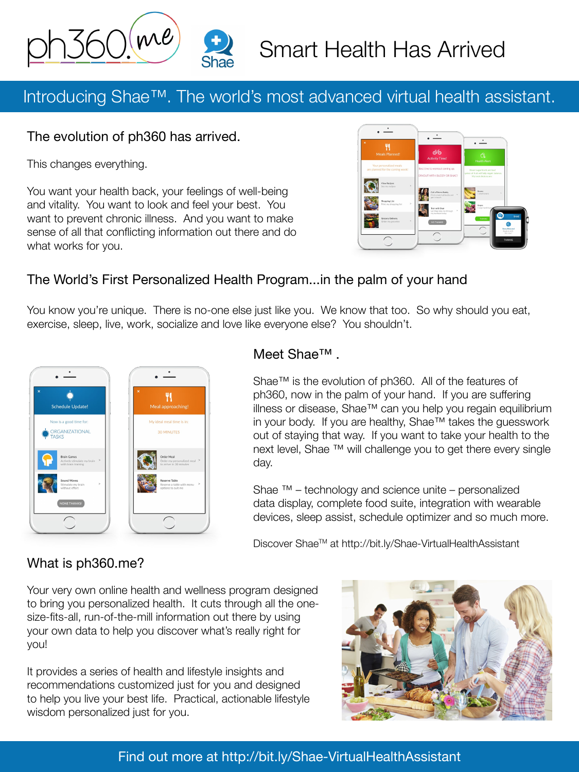

# Smart Health Has Arrived

# Introducing Shae™. The world's most advanced virtual health assistant.

#### The evolution of ph360 has arrived.

This changes everything.

You want your health back, your feelings of well-being and vitality. You want to look and feel your best. You want to prevent chronic illness. And you want to make sense of all that conflicting information out there and do what works for you.



### The World's First Personalized Health Program...in the palm of your hand

You know you're unique. There is no-one else just like you. We know that too. So why should you eat, exercise, sleep, live, work, socialize and love like everyone else? You shouldn't.



#### Meet Shae™ .

Shae™ is the evolution of ph360. All of the features of ph360, now in the palm of your hand. If you are suffering illness or disease, Shae™ can you help you regain equilibrium in your body. If you are healthy, Shae™ takes the guesswork out of staying that way. If you want to take your health to the next level, Shae ™ will challenge you to get there every single day.

Shae  $™$  – technology and science unite – personalized data display, complete food suite, integration with wearable devices, sleep assist, schedule optimizer and so much more.

Discover ShaeTM at<http://bit.ly/Shae-VirtualHealthAssistant>

#### What is [ph360.me?](ph360.me)

Your very own online health and wellness program designed to bring you personalized health. It cuts through all the onesize-fits-all, run-of-the-mill information out there by using your own data to help you discover what's really right for you!

It provides a series of health and lifestyle insights and recommendations customized just for you and designed to help you live your best life. Practical, actionable lifestyle wisdom personalized just for you.



Find out more at<http://bit.ly/Shae-VirtualHealthAssistant>